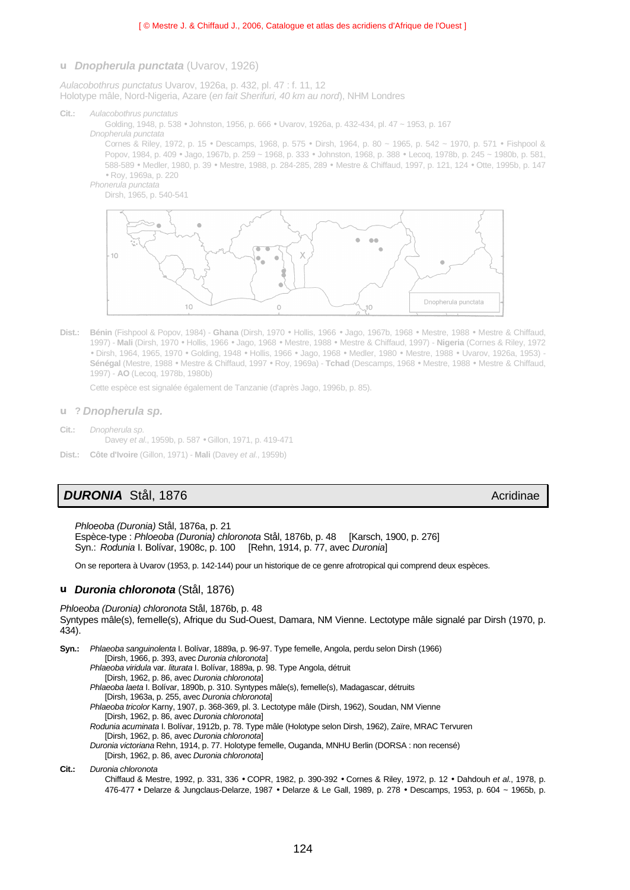## **u** *Dnopherula punctata* (Uvarov, 1926)

*Aulacobothrus punctatus* Uvarov, 1926a, p. 432, pl. 47 : f. 11, 12 Holotype mâle, Nord-Nigeria, Azare (*en fait Sherifuri, 40 km au nord*), NHM Londres

**Cit.:** *Aulacobothrus punctatus*

Golding, 1948, p. 538 • Johnston, 1956, p. 666 • Uvarov, 1926a, p. 432-434, pl. 47 ~ 1953, p. 167

*Dnopherula punctata* 

Cornes & Riley, 1972, p. 15 • Descamps, 1968, p. 575 • Dirsh, 1964, p. 80 ~ 1965, p. 542 ~ 1970, p. 571 • Fishpool & Popov, 1984, p. 409 • Jago, 1967b, p. 259 ~ 1968, p. 333 • Johnston, 1968, p. 388 • Lecoq, 1978b, p. 245 ~ 1980b, p. 581, 588-589 • Medler, 1980, p. 39 • Mestre, 1988, p. 284-285, 289 • Mestre & Chiffaud, 1997, p. 121, 124 • Otte, 1995b, p. 147 • Roy, 1969a, p. 220

*Phonerula punctata*



**Dist.: Bénin** (Fishpool & Popov, 1984) - **Ghana** (Dirsh, 1970 • Hollis, 1966 • Jago, 1967b, 1968 • Mestre, 1988 • Mestre & Chiffaud, 1997) - **Mali** (Dirsh, 1970 • Hollis, 1966 • Jago, 1968 • Mestre, 1988 • Mestre & Chiffaud, 1997) - **Nigeria** (Cornes & Riley, 1972 • Dirsh, 1964, 1965, 1970 • Golding, 1948 • Hollis, 1966 • Jago, 1968 • Medler, 1980 • Mestre, 1988 • Uvarov, 1926a, 1953) - **Sénégal** (Mestre, 1988 • Mestre & Chiffaud, 1997 • Roy, 1969a) - **Tchad** (Descamps, 1968 • Mestre, 1988 • Mestre & Chiffaud, 1997) - **AO** (Lecoq, 1978b, 1980b)

Cette espèce est signalée également de Tanzanie (d'après Jago, 1996b, p. 85).

- **u ?** *Dnopherula sp.*
- **Cit.:** *Dnopherula sp*. Davey *et al*., 1959b, p. 587 • Gillon, 1971, p. 419-471
- **Dist.: Côte d'Ivoire** (Gillon, 1971) **Mali** (Davey *et al*., 1959b)

## **DURONIA** Stål, 1876 **Acridinae** Acridinae Acridinae Acridinae Acridinae Acridinae

*Phloeoba (Duronia)* Stål, 1876a, p. 21 Espèce-type : *Phloeoba (Duronia) chloronota* Stål, 1876b, p. 48 [Karsch, 1900, p. 276] Syn.: *Rodunia* I. Bolívar, 1908c, p. 100 [Rehn, 1914, p. 77, avec *Duronia*]

On se reportera à Uvarov (1953, p. 142-144) pour un historique de ce genre afrotropical qui comprend deux espèces.

## **u** *Duronia chloronota* (Stål, 1876)

*Phloeoba (Duronia) chloronota* Stål, 1876b, p. 48 Syntypes mâle(s), femelle(s), Afrique du Sud-Ouest, Damara, NM Vienne. Lectotype mâle signalé par Dirsh (1970, p. 434).

**Syn.:** *Phlaeoba sanguinolenta* I. Bolívar, 1889a, p. 96-97. Type femelle, Angola, perdu selon Dirsh (1966) [Dirsh, 1966, p. 393, avec *Duronia chloronota*] *Phlaeoba viridula* var*. liturata* I. Bolívar, 1889a, p. 98. Type Angola, détruit [Dirsh, 1962, p. 86, avec *Duronia chloronota*] *Phlaeoba laeta* I. Bolívar, 1890b, p. 310. Syntypes mâle(s), femelle(s), Madagascar, détruits [Dirsh, 1963a, p. 255, avec *Duronia chloronota*] *Phlaeoba tricolor* Karny, 1907, p. 368-369, pl. 3. Lectotype mâle (Dirsh, 1962), Soudan, NM Vienne [Dirsh, 1962, p. 86, avec *Duronia chloronota*] *Rodunia acuminata* I. Bolívar, 1912b, p. 78. Type mâle (Holotype selon Dirsh, 1962), Zaïre, MRAC Tervuren [Dirsh, 1962, p. 86, avec *Duronia chloronota*] *Duronia victoriana* Rehn, 1914, p. 77. Holotype femelle, Ouganda, MNHU Berlin (DORSA : non recensé) [Dirsh, 1962, p. 86, avec *Duronia chloronota*] **Cit.:** *Duronia chloronota*

Chiffaud & Mestre, 1992, p. 331, 336 • COPR, 1982, p. 390-392 • Cornes & Riley, 1972, p. 12 • Dahdouh *et al*., 1978, p. 476-477 • Delarze & Jungclaus-Delarze, 1987 • Delarze & Le Gall, 1989, p. 278 • Descamps, 1953, p. 604 ~ 1965b, p.